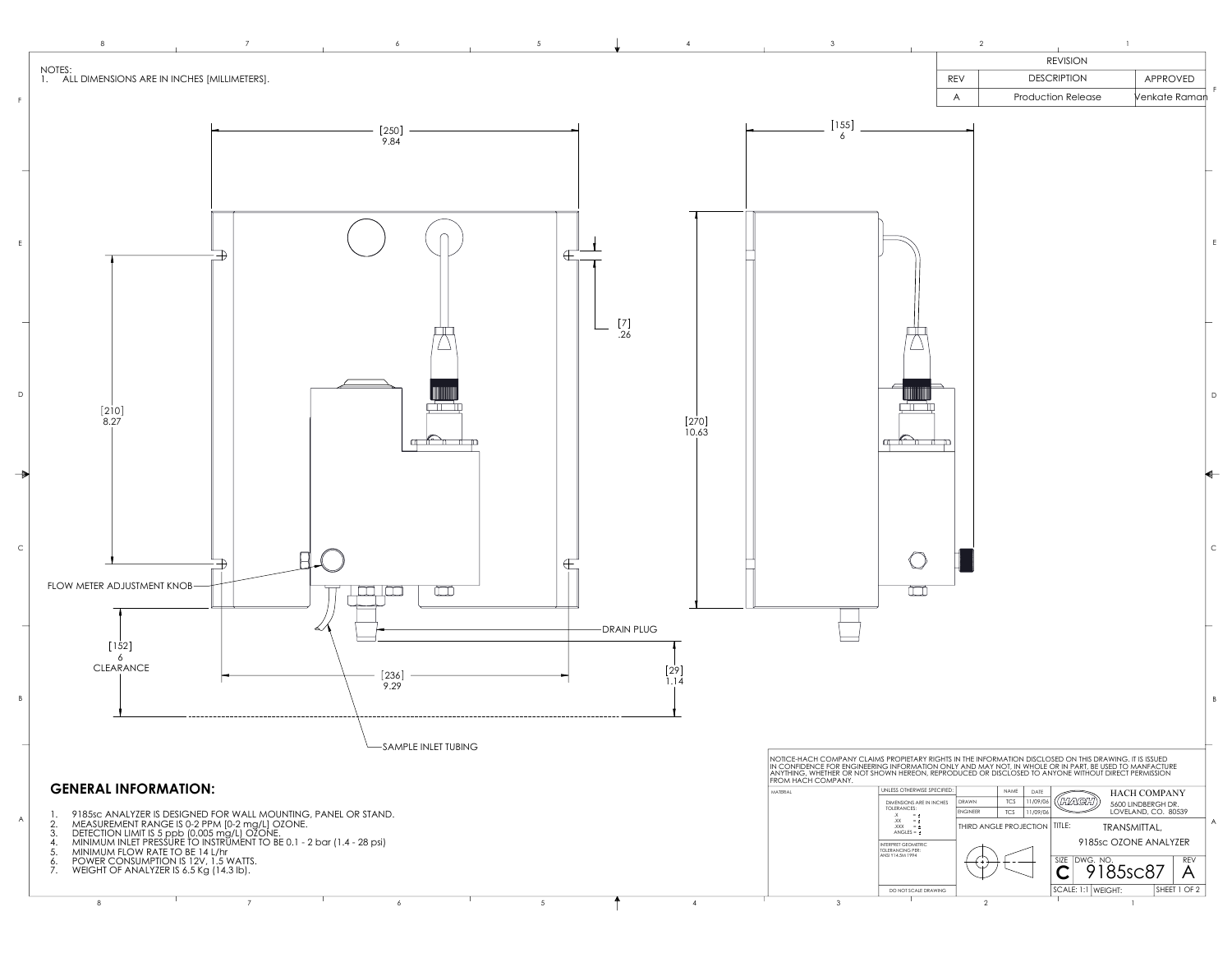

8 7 6 5 T 4 3 2 1